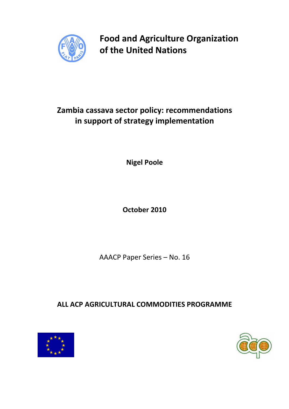

Food and Agriculture Organization of the United Nations

# Zambia cassava sector policy: recommendations in support of strategy implementation

Nigel Poole

October 2010

AAACP Paper Series – No. 16

ALL ACP AGRICULTURAL COMMODITIES PROGRAMME



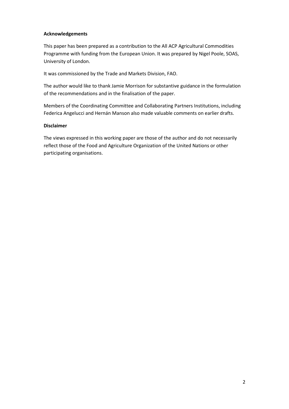### Acknowledgements

This paper has been prepared as a contribution to the All ACP Agricultural Commodities Programme with funding from the European Union. It was prepared by Nigel Poole, SOAS, University of London.

It was commissioned by the Trade and Markets Division, FAO.

The author would like to thank Jamie Morrison for substantive guidance in the formulation of the recommendations and in the finalisation of the paper.

Members of the Coordinating Committee and Collaborating Partners Institutions, including Federica Angelucci and Hernán Manson also made valuable comments on earlier drafts.

#### Disclaimer

The views expressed in this working paper are those of the author and do not necessarily reflect those of the Food and Agriculture Organization of the United Nations or other participating organisations.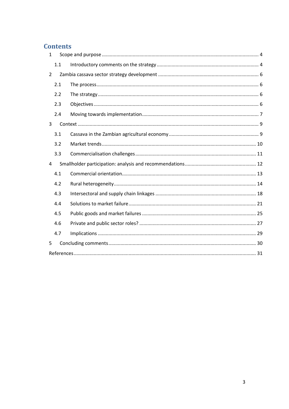# **Contents**

| $\mathbf{1}$   |     |  |  |  |
|----------------|-----|--|--|--|
|                | 1.1 |  |  |  |
| $\overline{2}$ |     |  |  |  |
|                | 2.1 |  |  |  |
|                | 2.2 |  |  |  |
|                | 2.3 |  |  |  |
|                | 2.4 |  |  |  |
| 3              |     |  |  |  |
|                | 3.1 |  |  |  |
|                | 3.2 |  |  |  |
|                | 3.3 |  |  |  |
| 4              |     |  |  |  |
|                | 4.1 |  |  |  |
|                | 4.2 |  |  |  |
|                | 4.3 |  |  |  |
|                | 4.4 |  |  |  |
|                | 4.5 |  |  |  |
|                | 4.6 |  |  |  |
|                | 4.7 |  |  |  |
| 5              |     |  |  |  |
|                |     |  |  |  |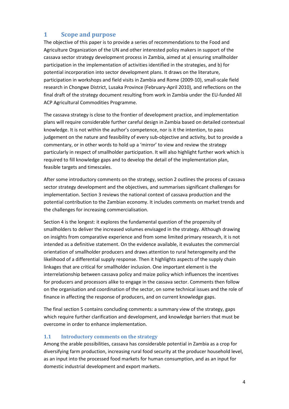# 1 Scope and purpose

The objective of this paper is to provide a series of recommendations to the Food and Agriculture Organization of the UN and other interested policy makers in support of the cassava sector strategy development process in Zambia, aimed at a) ensuring smallholder participation in the implementation of activities identified in the strategies, and b) for potential incorporation into sector development plans. It draws on the literature, participation in workshops and field visits in Zambia and Rome (2009-10), small-scale field research in Chongwe District, Lusaka Province (February-April 2010), and reflections on the final draft of the strategy document resulting from work in Zambia under the EU-funded All ACP Agricultural Commodities Programme.

The cassava strategy is close to the frontier of development practice, and implementation plans will require considerable further careful design in Zambia based on detailed contextual knowledge. It is not within the author's competence, nor is it the intention, to pass judgement on the nature and feasibility of every sub-objective and activity, but to provide a commentary, or in other words to hold up a 'mirror' to view and review the strategy particularly in respect of smallholder participation. It will also highlight further work which is required to fill knowledge gaps and to develop the detail of the implementation plan, feasible targets and timescales.

After some introductory comments on the strategy, section 2 outlines the process of cassava sector strategy development and the objectives, and summarises significant challenges for implementation. Section 3 reviews the national context of cassava production and the potential contribution to the Zambian economy. It includes comments on market trends and the challenges for increasing commercialisation.

Section 4 is the longest: it explores the fundamental question of the propensity of smallholders to deliver the increased volumes envisaged in the strategy. Although drawing on insights from comparative experience and from some limited primary research, it is not intended as a definitive statement. On the evidence available, it evaluates the commercial orientation of smallholder producers and draws attention to rural heterogeneity and the likelihood of a differential supply response. Then it highlights aspects of the supply chain linkages that are critical for smallholder inclusion. One important element is the interrelationship between cassava policy and maize policy which influences the incentives for producers and processors alike to engage in the cassava sector. Comments then follow on the organisation and coordination of the sector, on some technical issues and the role of finance in affecting the response of producers, and on current knowledge gaps.

The final section 5 contains concluding comments: a summary view of the strategy, gaps which require further clarification and development, and knowledge barriers that must be overcome in order to enhance implementation.

# 1.1 Introductory comments on the strategy

Among the arable possibilities, cassava has considerable potential in Zambia as a crop for diversifying farm production, increasing rural food security at the producer household level, as an input into the processed food markets for human consumption, and as an input for domestic industrial development and export markets.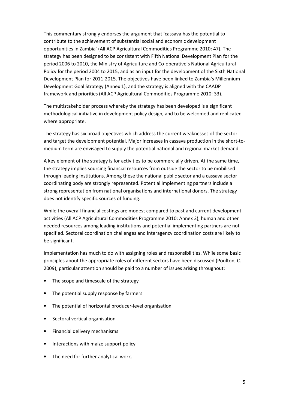This commentary strongly endorses the argument that 'cassava has the potential to contribute to the achievement of substantial social and economic development opportunities in Zambia' (All ACP Agricultural Commodities Programme 2010: 47). The strategy has been designed to be consistent with Fifth National Development Plan for the period 2006 to 2010, the Ministry of Agriculture and Co-operative's National Agricultural Policy for the period 2004 to 2015, and as an input for the development of the Sixth National Development Plan for 2011-2015. The objectives have been linked to Zambia's Millennium Development Goal Strategy (Annex 1), and the strategy is aligned with the CAADP framework and priorities (All ACP Agricultural Commodities Programme 2010: 33).

The multistakeholder process whereby the strategy has been developed is a significant methodological initiative in development policy design, and to be welcomed and replicated where appropriate.

The strategy has six broad objectives which address the current weaknesses of the sector and target the development potential. Major increases in cassava production in the short-tomedium term are envisaged to supply the potential national and regional market demand.

A key element of the strategy is for activities to be commercially driven. At the same time, the strategy implies sourcing financial resources from outside the sector to be mobilised through leading institutions. Among these the national public sector and a cassava sector coordinating body are strongly represented. Potential implementing partners include a strong representation from national organisations and international donors. The strategy does not identify specific sources of funding.

While the overall financial costings are modest compared to past and current development activities (All ACP Agricultural Commodities Programme 2010: Annex 2), human and other needed resources among leading institutions and potential implementing partners are not specified. Sectoral coordination challenges and interagency coordination costs are likely to be significant.

Implementation has much to do with assigning roles and responsibilities. While some basic principles about the appropriate roles of different sectors have been discussed (Poulton, C. 2009), particular attention should be paid to a number of issues arising throughout:

- The scope and timescale of the strategy
- The potential supply response by farmers
- The potential of horizontal producer-level organisation
- Sectoral vertical organisation
- Financial delivery mechanisms
- Interactions with maize support policy
- The need for further analytical work.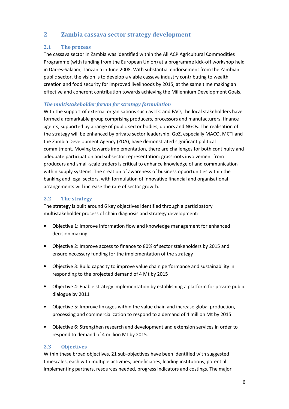# 2 Zambia cassava sector strategy development

# 2.1 The process

The cassava sector in Zambia was identified within the All ACP Agricultural Commodities Programme (with funding from the European Union) at a programme kick-off workshop held in Dar-es-Salaam, Tanzania in June 2008. With substantial endorsement from the Zambian public sector, the vision is to develop a viable cassava industry contributing to wealth creation and food security for improved livelihoods by 2015, at the same time making an effective and coherent contribution towards achieving the Millennium Development Goals.

# The multistakeholder forum for strategy formulation

With the support of external organisations such as ITC and FAO, the local stakeholders have formed a remarkable group comprising producers, processors and manufacturers, finance agents, supported by a range of public sector bodies, donors and NGOs. The realisation of the strategy will be enhanced by private sector leadership. GoZ, especially MACO, MCTI and the Zambia Development Agency (ZDA), have demonstrated significant political commitment. Moving towards implementation, there are challenges for both continuity and adequate participation and subsector representation: grassroots involvement from producers and small-scale traders is critical to enhance knowledge of and communication within supply systems. The creation of awareness of business opportunities within the banking and legal sectors, with formulation of innovative financial and organisational arrangements will increase the rate of sector growth.

# 2.2 The strategy

The strategy is built around 6 key objectives identified through a participatory multistakeholder process of chain diagnosis and strategy development:

- Objective 1: Improve information flow and knowledge management for enhanced decision making
- Objective 2: Improve access to finance to 80% of sector stakeholders by 2015 and ensure necessary funding for the implementation of the strategy
- Objective 3: Build capacity to improve value chain performance and sustainability in responding to the projected demand of 4 Mt by 2015
- Objective 4: Enable strategy implementation by establishing a platform for private public dialogue by 2011
- Objective 5: Improve linkages within the value chain and increase global production, processing and commercialization to respond to a demand of 4 million Mt by 2015
- Objective 6: Strengthen research and development and extension services in order to respond to demand of 4 million Mt by 2015.

# 2.3 Objectives

Within these broad objectives, 21 sub-objectives have been identified with suggested timescales, each with multiple activities, beneficiaries, leading institutions, potential implementing partners, resources needed, progress indicators and costings. The major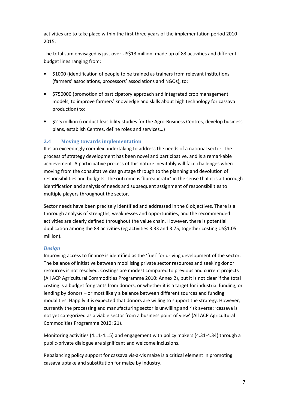activities are to take place within the first three years of the implementation period 2010- 2015.

The total sum envisaged is just over US\$13 million, made up of 83 activities and different budget lines ranging from:

- \$1000 (identification of people to be trained as trainers from relevant institutions (farmers' associations, processors' associations and NGOs), to:
- \$750000 (promotion of participatory approach and integrated crop management models, to improve farmers' knowledge and skills about high technology for cassava production) to:
- \$2.5 million (conduct feasibility studies for the Agro-Business Centres, develop business plans, establish Centres, define roles and services…)

### 2.4 Moving towards implementation

It is an exceedingly complex undertaking to address the needs of a national sector. The process of strategy development has been novel and participative, and is a remarkable achievement. A participative process of this nature inevitably will face challenges when moving from the consultative design stage through to the planning and devolution of responsibilities and budgets. The outcome is 'bureaucratic' in the sense that it is a thorough identification and analysis of needs and subsequent assignment of responsibilities to multiple players throughout the sector.

Sector needs have been precisely identified and addressed in the 6 objectives. There is a thorough analysis of strengths, weaknesses and opportunities, and the recommended activities are clearly defined throughout the value chain. However, there is potential duplication among the 83 activities (eg activities 3.33 and 3.75, together costing US\$1.05 million).

#### **Design**

Improving access to finance is identified as the 'fuel' for driving development of the sector. The balance of initiative between mobilising private sector resources and seeking donor resources is not resolved. Costings are modest compared to previous and current projects (All ACP Agricultural Commodities Programme 2010: Annex 2), but it is not clear if the total costing is a budget for grants from donors, or whether it is a target for industrial funding, or lending by donors – or most likely a balance between different sources and funding modalities. Happily it is expected that donors are willing to support the strategy. However, currently the processing and manufacturing sector is unwilling and risk averse: 'cassava is not yet categorized as a viable sector from a business point of view' (All ACP Agricultural Commodities Programme 2010: 21).

Monitoring activities (4.11-4.15) and engagement with policy makers (4.31-4.34) through a public-private dialogue are significant and welcome inclusions.

Rebalancing policy support for cassava vis-à-vis maize is a critical element in promoting cassava uptake and substitution for maize by industry.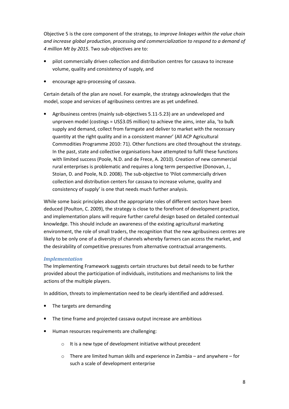Objective 5 is the core component of the strategy, to improve linkages within the value chain and increase global production, processing and commercialization to respond to a demand of 4 million Mt by 2015. Two sub-objectives are to:

- pilot commercially driven collection and distribution centres for cassava to increase volume, quality and consistency of supply, and
- encourage agro-processing of cassava.

Certain details of the plan are novel. For example, the strategy acknowledges that the model, scope and services of agribusiness centres are as yet undefined.

• Agribusiness centres (mainly sub-objectives 5.11-5.23) are an undeveloped and unproven model (costings = US\$3.05 million) to achieve the aims, inter alia, 'to bulk supply and demand, collect from farmgate and deliver to market with the necessary quantity at the right quality and in a consistent manner' (All ACP Agricultural Commodities Programme 2010: 71). Other functions are cited throughout the strategy. In the past, state and collective organisations have attempted to fulfil these functions with limited success (Poole, N.D. and de Frece, A. 2010). Creation of new commercial rural enterprises is problematic and requires a long term perspective (Donovan, J., Stoian, D. and Poole, N.D. 2008). The sub-objective to 'Pilot commercially driven collection and distribution centers for cassava to increase volume, quality and consistency of supply' is one that needs much further analysis.

While some basic principles about the appropriate roles of different sectors have been deduced (Poulton, C. 2009), the strategy is close to the forefront of development practice, and implementation plans will require further careful design based on detailed contextual knowledge. This should include an awareness of the existing agricultural marketing environment, the role of small traders, the recognition that the new agribusiness centres are likely to be only one of a diversity of channels whereby farmers can access the market, and the desirability of competitive pressures from alternative contractual arrangements.

# Implementation

The Implementing Framework suggests certain structures but detail needs to be further provided about the participation of individuals, institutions and mechanisms to link the actions of the multiple players.

In addition, threats to implementation need to be clearly identified and addressed.

- The targets are demanding
- The time frame and projected cassava output increase are ambitious
- Human resources requirements are challenging:
	- o It is a new type of development initiative without precedent
	- o There are limited human skills and experience in Zambia and anywhere for such a scale of development enterprise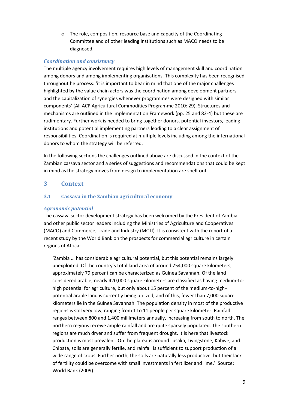o The role, composition, resource base and capacity of the Coordinating Committee and of other leading institutions such as MACO needs to be diagnosed.

### Coordination and consistency

The multiple agency involvement requires high levels of management skill and coordination among donors and among implementing organisations. This complexity has been recognised throughout he process: 'it is important to bear in mind that one of the major challenges highlighted by the value chain actors was the coordination among development partners and the capitalization of synergies whenever programmes were designed with similar components' (All ACP Agricultural Commodities Programme 2010: 29). Structures and mechanisms are outlined in the Implementation Framework (pp. 25 and 82-4) but these are rudimentary. Further work is needed to bring together donors, potential investors, leading institutions and potential implementing partners leading to a clear assignment of responsibilities. Coordination is required at multiple levels including among the international donors to whom the strategy will be referred.

In the following sections the challenges outlined above are discussed in the context of the Zambian cassava sector and a series of suggestions and recommendations that could be kept in mind as the strategy moves from design to implementation are spelt out

# 3 Context

# 3.1 Cassava in the Zambian agricultural economy

# Agronomic potential

The cassava sector development strategy has been welcomed by the President of Zambia and other public sector leaders including the Ministries of Agriculture and Cooperatives (MACO) and Commerce, Trade and Industry (MCTI). It is consistent with the report of a recent study by the World Bank on the prospects for commercial agriculture in certain regions of Africa:

'Zambia … has considerable agricultural potential, but this potential remains largely unexploited. Of the country's total land area of around 754,000 square kilometers, approximately 79 percent can be characterized as Guinea Savannah. Of the land considered arable, nearly 420,000 square kilometers are classified as having medium-tohigh potential for agriculture, but only about 15 percent of the medium-to-high– potential arable land is currently being utilized, and of this, fewer than 7,000 square kilometers lie in the Guinea Savannah. The population density in most of the productive regions is still very low, ranging from 1 to 11 people per square kilometer. Rainfall ranges between 800 and 1,400 millimeters annually, increasing from south to north. The northern regions receive ample rainfall and are quite sparsely populated. The southern regions are much dryer and suffer from frequent drought. It is here that livestock production is most prevalent. On the plateaus around Lusaka, Livingstone, Kabwe, and Chipata, soils are generally fertile, and rainfall is sufficient to support production of a wide range of crops. Further north, the soils are naturally less productive, but their lack of fertility could be overcome with small investments in fertilizer and lime.' Source: World Bank (2009).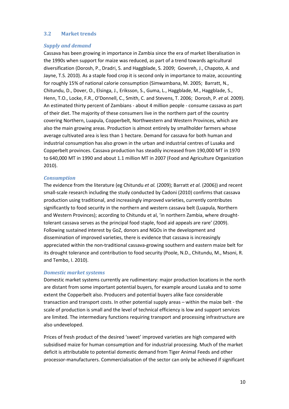### 3.2 Market trends

#### Supply and demand

Cassava has been growing in importance in Zambia since the era of market liberalisation in the 1990s when support for maize was reduced, as part of a trend towards agricultural diversification (Dorosh, P., Dradri, S. and Haggblade, S. 2009; Govereh, J., Chapoto, A. and Jayne, T.S. 2010). As a staple food crop it is second only in importance to maize, accounting for roughly 15% of national calorie consumption (Simwambana, M. 2005; Barratt, N., Chitundu, D., Dover, O., Elsinga, J., Eriksson, S., Guma, L., Haggblade, M., Haggblade, S., Henn, T.O., Locke, F.R., O'Donnell, C., Smith, C. and Stevens, T. 2006; Dorosh, P. et al. 2009). An estimated thirty percent of Zambians - about 4 million people - consume cassava as part of their diet. The majority of these consumers live in the northern part of the country covering Northern, Luapula, Copperbelt, Northwestern and Western Provinces, which are also the main growing areas. Production is almost entirely by smallholder farmers whose average cultivated area is less than 1 hectare. Demand for cassava for both human and industrial consumption has also grown in the urban and industrial centres of Lusaka and Copperbelt provinces. Cassava production has steadily increased from 190,000 MT in 1970 to 640,000 MT in 1990 and about 1.1 million MT in 2007 (Food and Agriculture Organization 2010).

#### **Consumption**

The evidence from the literature (eg Chitundu et al. (2009); Barratt et al. (2006)) and recent small-scale research including the study conducted by Cadoni (2010) confirms that cassava production using traditional, and increasingly improved varieties, currently contributes significantly to food security in the northern and western cassava belt (Luapula, Northern and Western Provinces); according to Chitundu et al, 'in northern Zambia, where droughttolerant cassava serves as the principal food staple, food aid appeals are rare' (2009). Following sustained interest by GoZ, donors and NGOs in the development and dissemination of improved varieties, there is evidence that cassava is increasingly appreciated within the non-traditional cassava-growing southern and eastern maize belt for its drought tolerance and contribution to food security (Poole, N.D., Chitundu, M., Msoni, R. and Tembo, I. 2010).

#### Domestic market systems

Domestic market systems currently are rudimentary: major production locations in the north are distant from some important potential buyers, for example around Lusaka and to some extent the Copperbelt also. Producers and potential buyers alike face considerable transaction and transport costs. In other potential supply areas – within the maize belt - the scale of production is small and the level of technical efficiency is low and support services are limited. The intermediary functions requiring transport and processing infrastructure are also undeveloped.

Prices of fresh product of the desired 'sweet' improved varieties are high compared with subsidised maize for human consumption and for industrial processing. Much of the market deficit is attributable to potential domestic demand from Tiger Animal Feeds and other processor-manufacturers. Commercialisation of the sector can only be achieved if significant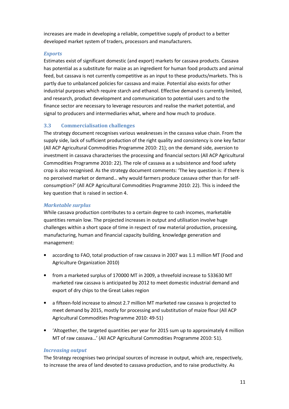increases are made in developing a reliable, competitive supply of product to a better developed market system of traders, processors and manufacturers.

### **Exports**

Estimates exist of significant domestic (and export) markets for cassava products. Cassava has potential as a substitute for maize as an ingredient for human food products and animal feed, but cassava is not currently competitive as an input to these products/markets. This is partly due to unbalanced policies for cassava and maize. Potential also exists for other industrial purposes which require starch and ethanol. Effective demand is currently limited, and research, product development and communication to potential users and to the finance sector are necessary to leverage resources and realise the market potential, and signal to producers and intermediaries what, where and how much to produce.

# 3.3 Commercialisation challenges

The strategy document recognises various weaknesses in the cassava value chain. From the supply side, lack of sufficient production of the right quality and consistency is one key factor (All ACP Agricultural Commodities Programme 2010: 21); on the demand side, aversion to investment in cassava characterises the processing and financial sectors (All ACP Agricultural Commodities Programme 2010: 22). The role of cassava as a subsistence and food safety crop is also recognised. As the strategy document comments: 'The key question is: if there is no perceived market or demand… why would farmers produce cassava other than for selfconsumption?' (All ACP Agricultural Commodities Programme 2010: 22). This is indeed the key question that is raised in section 4.

# Marketable surplus

While cassava production contributes to a certain degree to cash incomes, marketable quantities remain low. The projected increases in output and utilisation involve huge challenges within a short space of time in respect of raw material production, processing, manufacturing, human and financial capacity building, knowledge generation and management:

- according to FAO, total production of raw cassava in 2007 was 1.1 million MT (Food and Agriculture Organization 2010)
- from a marketed surplus of 170000 MT in 2009, a threefold increase to 533630 MT marketed raw cassava is anticipated by 2012 to meet domestic industrial demand and export of dry chips to the Great Lakes region
- a fifteen-fold increase to almost 2.7 million MT marketed raw cassava is projected to meet demand by 2015, mostly for processing and substitution of maize flour (All ACP Agricultural Commodities Programme 2010: 49-51)
- 'Altogether, the targeted quantities per year for 2015 sum up to approximately 4 million MT of raw cassava…' (All ACP Agricultural Commodities Programme 2010: 51).

# Increasing output

The Strategy recognises two principal sources of increase in output, which are, respectively, to increase the area of land devoted to cassava production, and to raise productivity. As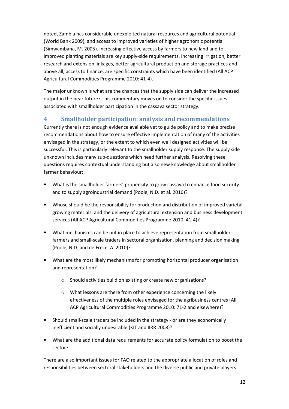noted, Zambia has considerable unexploited natural resources and agricultural potential (World Bank 2009), and access to improved varieties of higher agronomic potential (Simwambana, M. 2005). Increasing effective access by farmers to new land and to improved planting materials are key supply-side requirements. Increasing irrigation, better research and extension linkages, better agricultural production and storage practices and above all, access to finance, are specific constraints which have been identified (All ACP Agricultural Commodities Programme 2010: 41-4).

The major unknown is what are the chances that the supply side can deliver the increased output in the near future? This commentary moves on to consider the specific issues associated with smallholder participation in the cassava sector strategy.

# 4 Smallholder participation: analysis and recommendations

Currently there is not enough evidence available yet to guide policy and to make precise recommendations about how to ensure effective implementation of many of the activities envisaged in the strategy, or the extent to which even well designed activities will be successful. This is particularly relevant to the smallholder supply response. The supply side unknown includes many sub-questions which need further analysis. Resolving these questions requires contextual understanding but also new knowledge about smallholder farmer behaviour:

- What is the smallholder farmers' propensity to grow cassava to enhance food security and to supply agroindustrial demand (Poole, N.D. et al. 2010)?
- Whose should be the responsibility for production and distribution of improved varietal growing materials, and the delivery of agricultural extension and business development services (All ACP Agricultural Commodities Programme 2010: 41-4)?
- What mechanisms can be put in place to achieve representation from smallholder farmers and small-scale traders in sectoral organisation, planning and decision making (Poole, N.D. and de Frece, A. 2010)?
- What are the most likely mechanisms for promoting horizontal producer organisation and representation?
	- o Should activities build on existing or create new organisations?
	- o What lessons are there from other experience concerning the likely effectiveness of the multiple roles envisaged for the agribusiness centres (All ACP Agricultural Commodities Programme 2010: 71-2 and elsewhere)?
- Should small-scale traders be included in the strategy or are they economically inefficient and socially undesirable (KIT and IIRR 2008)?
- What are the additional data requirements for accurate policy formulation to boost the sector?

There are also important issues for FAO related to the appropriate allocation of roles and responsibilities between sectoral stakeholders and the diverse public and private players.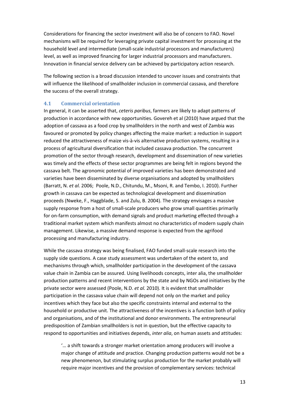Considerations for financing the sector investment will also be of concern to FAO. Novel mechanisms will be required for leveraging private capital investment for processing at the household level and intermediate (small-scale industrial processors and manufacturers) level, as well as improved financing for larger industrial processors and manufacturers. Innovation in financial service delivery can be achieved by participatory action research.

The following section is a broad discussion intended to uncover issues and constraints that will influence the likelihood of smallholder inclusion in commercial cassava, and therefore the success of the overall strategy.

### 4.1 Commercial orientation

In general, it can be asserted that, ceteris paribus, farmers are likely to adapt patterns of production in accordance with new opportunities. Govereh et al (2010) have argued that the adoption of cassava as a food crop by smallholders in the north and west of Zambia was favoured or promoted by policy changes affecting the maize market: a reduction in support reduced the attractiveness of maize vis-à-vis alternative production systems, resulting in a process of agricultural diversification that included cassava production. The concurrent promotion of the sector through research, development and dissemination of new varieties was timely and the effects of these sector programmes are being felt in regions beyond the cassava belt. The agronomic potential of improved varieties has been demonstrated and varieties have been disseminated by diverse organisations and adopted by smallholders (Barratt, N. et al. 2006; Poole, N.D., Chitundu, M., Msoni, R. and Tembo, I. 2010). Further growth in cassava can be expected as technological development and dissemination proceeds (Nweke, F., Haggblade, S. and Zulu, B. 2004). The strategy envisages a massive supply response from a host of small-scale producers who grow small quantities primarily for on-farm consumption, with demand signals and product marketing effected through a traditional market system which manifests almost no characteristics of modern supply chain management. Likewise, a massive demand response is expected from the agrifood processing and manufacturing industry.

While the cassava strategy was being finalised, FAO funded small-scale research into the supply side questions. A case study assessment was undertaken of the extent to, and mechanisms through which, smallholder participation in the development of the cassava value chain in Zambia can be assured. Using livelihoods concepts, inter alia, the smallholder production patterns and recent interventions by the state and by NGOs and initiatives by the private sector were assessed (Poole, N.D. et al. 2010). It is evident that smallholder participation in the cassava value chain will depend not only on the market and policy incentives which they face but also the specific constraints internal and external to the household or productive unit. The attractiveness of the incentives is a function both of policy and organisations, and of the institutional and donor environments. The entrepreneurial predisposition of Zambian smallholders is not in question, but the effective capacity to respond to opportunities and initiatives depends, *inter alia*, on human assets and attitudes:

'… a shift towards a stronger market orientation among producers will involve a major change of attitude and practice. Changing production patterns would not be a new phenomenon, but stimulating surplus production for the market probably will require major incentives and the provision of complementary services: technical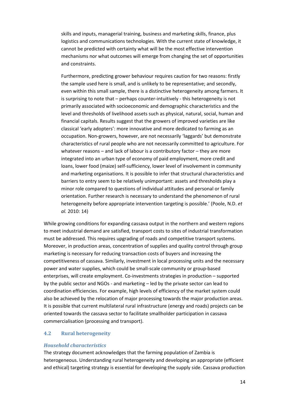skills and inputs, managerial training, business and marketing skills, finance, plus logistics and communications technologies. With the current state of knowledge, it cannot be predicted with certainty what will be the most effective intervention mechanisms nor what outcomes will emerge from changing the set of opportunities and constraints.

Furthermore, predicting grower behaviour requires caution for two reasons: firstly the sample used here is small, and is unlikely to be representative; and secondly, even within this small sample, there is a distinctive heterogeneity among farmers. It is surprising to note that – perhaps counter-intuitively - this heterogeneity is not primarily associated with socioeconomic and demographic characteristics and the level and thresholds of livelihood assets such as physical, natural, social, human and financial capitals. Results suggest that the growers of improved varieties are like classical 'early adopters': more innovative and more dedicated to farming as an occupation. Non-growers, however, are not necessarily 'laggards' but demonstrate characteristics of rural people who are not necessarily committed to agriculture. For whatever reasons – and lack of labour is a contributory factor – they are more integrated into an urban type of economy of paid employment, more credit and loans, lower food (maize) self-sufficiency, lower level of involvement in community and marketing organisations. It is possible to infer that structural characteristics and barriers to entry seem to be relatively unimportant: assets and thresholds play a minor role compared to questions of individual attitudes and personal or family orientation. Further research is necessary to understand the phenomenon of rural heterogeneity before appropriate intervention targeting is possible.' (Poole, N.D. et al. 2010: 14)

While growing conditions for expanding cassava output in the northern and western regions to meet industrial demand are satisfied, transport costs to sites of industrial transformation must be addressed. This requires upgrading of roads and competitive transport systems. Moreover, in production areas, concentration of supplies and quality control through group marketing is necessary for reducing transaction costs of buyers and increasing the competitiveness of cassava. Similarly, investment in local processing units and the necessary power and water supplies, which could be small-scale community or group-based enterprises, will create employment. Co-investments strategies in production – supported by the public sector and NGOs - and marketing – led by the private sector can lead to coordination efficiencies. For example, high levels of efficiency of the market system could also be achieved by the relocation of major processing towards the major production areas. It is possible that current multilateral rural infrastructure (energy and roads) projects can be oriented towards the cassava sector to facilitate smallholder participation in cassava commercialisation (processing and transport).

# 4.2 Rural heterogeneity

#### Household characteristics

The strategy document acknowledges that the farming population of Zambia is heterogeneous. Understanding rural heterogeneity and developing an appropriate (efficient and ethical) targeting strategy is essential for developing the supply side. Cassava production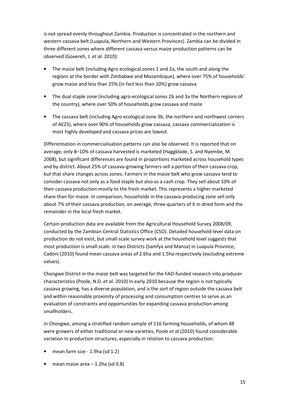is not spread evenly throughout Zambia. Production is concentrated in the northern and western cassava belt (Luapula, Northern and Western Provinces). Zambia can be divided in three different zones where different cassava versus maize production patterns can be observed (Govereh, J. et al. 2010):

- The maize belt (including Agro ecological zones 1 and 2a, the south and along the regions at the border with Zimbabwe and Mozambique), where over 75% of households' grow maize and less than 25% (in fact less than 10%) grow cassava
- The dual staple zone (including agro-ecological zones 2b and 3a the Northern regions of the country), where over 50% of households grow cassava and maize
- The cassava belt (including Agro ecological zone 3b, the northern and northwest corners of AEZ3), where over 90% of households grow cassava, cassava commercialization is most highly developed and cassava prices are lowest.

Differentiation in commercialisation patterns can also be observed. It is reported that on average, only 8–10% of cassava harvested is marketed (Haggblade, S. and Nyembe, M. 2008), but significant differences are found in proportions marketed across household types and by district. About 25% of cassava-growing farmers sell a portion of their cassava crop, but that share changes across zones. Farmers in the maize belt who grow cassava tend to consider cassava not only as a food staple but also as a cash crop. They sell about 10% of their cassava production mostly to the fresh market. This represents a higher marketed share than for maize. In comparison, households in the cassava-producing zone sell only about 7% of their cassava production, on average, three-quarters of it in dried form and the remainder in the local fresh market.

Certain production data are available from the Agricultural Household Survey 2008/09, conducted by the Zambian Central Statistics Office (CSO). Detailed household-level data on production do not exist, but small-scale survey work at the household level suggests that most production is small-scale: in two Districts (Samfya and Mansa) in Luapula Province, Cadoni (2010) found mean cassava areas of 2.6ha and 1.5ha respectively (excluding extreme values).

Chongwe District in the maize belt was targeted for the FAO-funded research into producer characteristics (Poole, N.D. et al. 2010) in early 2010 because the region is not typically cassava growing, has a diverse population, and is the sort of region outside the cassava belt and within reasonable proximity of processing and consumption centres to serve as an evaluation of constraints and opportunities for expanding cassava production among smallholders.

In Chongwe, among a stratified random sample of 116 farming households, of whom 88 were growers of either traditional or new varieties, Poole et al (2010) found considerable variation in production structures, especially in relation to cassava production:

- mean farm size 1.9ha (sd 1.2)
- mean maize area  $-1.2$ ha (sd 0.8)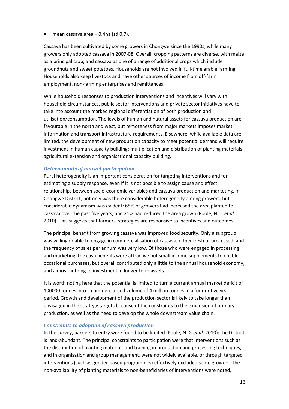• mean cassava area – 0.4ha (sd 0.7).

Cassava has been cultivated by some growers in Chongwe since the 1990s, while many growers only adopted cassava in 2007-08. Overall, cropping patterns are diverse, with maize as a principal crop, and cassava as one of a range of additional crops which include groundnuts and sweet potatoes. Households are not involved in full-time arable farming. Households also keep livestock and have other sources of income from off-farm employment, non-farming enterprises and remittances.

While household responses to production interventions and incentives will vary with household circumstances, public sector interventions and private sector initiatives have to take into account the marked regional differentiation of both production and utilisation/consumption. The levels of human and natural assets for cassava production are favourable in the north and west, but remoteness from major markets imposes market information and transport infrastructure requirements. Elsewhere, while available data are limited, the development of new production capacity to meet potential demand will require investment in human capacity building: multiplication and distribution of planting materials, agricultural extension and organisational capacity building.

### Determinants of market participation

Rural heterogeneity is an important consideration for targeting interventions and for estimating a supply response, even if it is not possible to assign cause and effect relationships between socio-economic variables and cassava production and marketing. In Chongwe District, not only was there considerable heterogeneity among growers, but considerable dynamism was evident: 65% of growers had increased the area planted to cassava over the past five years, and 21% had reduced the area grown (Poole, N.D. et al. 2010). This suggests that farmers' strategies are responsive to incentives and outcomes.

The principal benefit from growing cassava was improved food security. Only a subgroup was willing or able to engage in commercialisation of cassava, either fresh or processed, and the frequency of sales per annum was very low. Of those who were engaged in processing and marketing, the cash benefits were attractive but small income supplements to enable occasional purchases, but overall contributed only a little to the annual household economy, and almost nothing to investment in longer term assets.

It is worth noting here that the potential is limited to turn a current annual market deficit of 100000 tonnes into a commercialised volume of 4 million tonnes in a four or five year period. Growth and development of the production sector is likely to take longer than envisaged in the strategy targets because of the constraints to the expansion of primary production, as well as the need to develop the whole downstream value chain.

#### Constraints to adoption of cassava production

In the survey, barriers to entry were found to be limited (Poole, N.D. et al. 2010): the District is land-abundant. The principal constraints to participation were that interventions such as the distribution of planting materials and training in production and processing techniques, and in organisation and group management, were not widely available, or through targeted interventions (such as gender-based programmes) effectively excluded some growers. The non-availability of planting materials to non-beneficiaries of interventions were noted,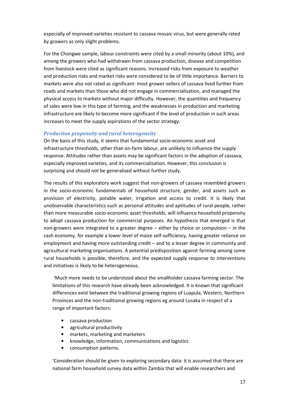especially of improved varieties resistant to cassava mosaic virus, but were generally rated by growers as only slight problems.

For the Chongwe sample, labour constraints were cited by a small minority (about 10%), and among the growers who had withdrawn from cassava production, disease and competition from livestock were cited as significant reasons. Increased risks from exposure to weather and production risks and market risks were considered to be of little importance. Barriers to markets were also not rated as significant: most grower-sellers of cassava lived further from roads and markets than those who did not engage in commercialisation, and managed the physical access to markets without major difficulty. However, the quantities and frequency of sales were low in this type of farming, and the weaknesses in production and marketing infrastructure are likely to become more significant if the level of production in such areas increases to meet the supply aspirations of the sector strategy.

#### Production propensity and rural heterogeneity

On the basis of this study, it seems that fundamental socio-economic asset and infrastructure thresholds, other than on-farm labour, are unlikely to influence the supply response. Attitudes rather than assets may be significant factors in the adoption of cassava, especially improved varieties, and its commercialisation. However, this conclusion is surprising and should not be generalised without further study.

The results of this exploratory work suggest that non-growers of cassava resembled growers in the socio-economic fundamentals of household structure, gender, and assets such as provision of electricity, potable water, irrigation and access to credit. It is likely that unobservable characteristics such as personal attitudes and aptitudes of rural people, rather than more measurable socio-economic asset thresholds, will influence household propensity to adopt cassava production for commercial purposes. An hypothesis that emerged is that non-growers were integrated to a greater degree – either by choice or compulsion – in the cash economy, for example a lower level of maize self-sufficiency, having greater reliance on employment and having more outstanding credit – and to a lesser degree in community and agricultural marketing organisations. A potential predisposition against farming among some rural households is possible, therefore, and the expected supply response to interventions and initiatives is likely to be heterogeneous.

 'Much more needs to be understood about the smallholder cassava farming sector. The limitations of this research have already been acknowledged. It is known that significant differences exist between the traditional growing regions of Luapula, Western, Northern Provinces and the non-traditional growing regions eg around Lusaka in respect of a range of important factors:

- cassava production
- agricultural productivity
- markets, marketing and marketers
- knowledge, information, communications and logistics
- consumption patterns.

'Consideration should be given to exploring secondary data: it is assumed that there are national farm household survey data within Zambia that will enable researchers and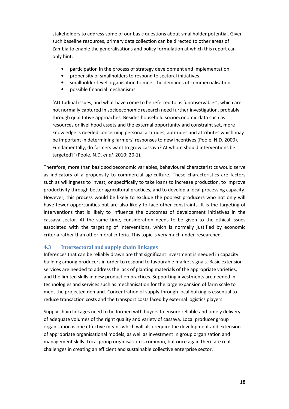stakeholders to address some of our basic questions about smallholder potential. Given such baseline resources, primary data collection can be directed to other areas of Zambia to enable the generalisations and policy formulation at which this report can only hint:

- participation in the process of strategy development and implementation
- propensity of smallholders to respond to sectoral initiatives
- smallholder-level organisation to meet the demands of commercialisation
- possible financial mechanisms.

'Attitudinal issues, and what have come to be referred to as 'unobservables', which are not normally captured in socioeconomic research need further investigation, probably through qualitative approaches. Besides household socioeconomic data such as resources or livelihood assets and the external opportunity and constraint set, more knowledge is needed concerning personal attitudes, aptitudes and attributes which may be important in determining farmers' responses to new incentives (Poole, N.D. 2000). Fundamentally, do farmers want to grow cassava? At whom should interventions be targeted?' (Poole, N.D. et al. 2010: 20-1).

Therefore, more than basic socioeconomic variables, behavioural characteristics would serve as indicators of a propensity to commercial agriculture. These characteristics are factors such as willingness to invest, or specifically to take loans to increase production, to improve productivity through better agricultural practices, and to develop a local processing capacity. However, this process would be likely to exclude the poorest producers who not only will have fewer opportunities but are also likely to face other constraints. It is the targeting of interventions that is likely to influence the outcomes of development initiatives in the cassava sector. At the same time, consideration needs to be given to the ethical issues associated with the targeting of interventions, which is normally justified by economic criteria rather than other moral criteria. This topic is very much under-researched.

#### 4.3 Intersectoral and supply chain linkages

Inferences that can be reliably drawn are that significant investment is needed in capacity building among producers in order to respond to favourable market signals. Basic extension services are needed to address the lack of planting materials of the appropriate varieties, and the limited skills in new production practices. Supporting investments are needed in technologies and services such as mechanisation for the large expansion of farm scale to meet the projected demand. Concentration of supply through local bulking is essential to reduce transaction costs and the transport costs faced by external logistics players.

Supply chain linkages need to be formed with buyers to ensure reliable and timely delivery of adequate volumes of the right quality and variety of cassava. Local producer group organisation is one effective means which will also require the development and extension of appropriate organisational models, as well as investment in group organisation and management skills. Local group organisation is common, but once again there are real challenges in creating an efficient and sustainable collective enterprise sector.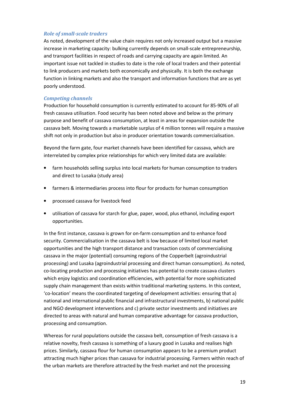# Role of small-scale traders

As noted, development of the value chain requires not only increased output but a massive increase in marketing capacity: bulking currently depends on small-scale entrepreneurship, and transport facilities in respect of roads and carrying capacity are again limited. An important issue not tackled in studies to date is the role of local traders and their potential to link producers and markets both economically and physically. It is both the exchange function in linking markets and also the transport and information functions that are as yet poorly understood.

#### Competing channels

Production for household consumption is currently estimated to account for 85-90% of all fresh cassava utilisation. Food security has been noted above and below as the primary purpose and benefit of cassava consumption, at least in areas for expansion outside the cassava belt. Moving towards a marketable surplus of 4 million tonnes will require a massive shift not only in production but also in producer orientation towards commercialisation.

Beyond the farm gate, four market channels have been identified for cassava, which are interrelated by complex price relationships for which very limited data are available:

- farm households selling surplus into local markets for human consumption to traders and direct to Lusaka (study area)
- farmers & intermediaries process into flour for products for human consumption
- processed cassava for livestock feed
- utilisation of cassava for starch for glue, paper, wood, plus ethanol, including export opportunities.

In the first instance, cassava is grown for on-farm consumption and to enhance food security. Commercialisation in the cassava belt is low because of limited local market opportunities and the high transport distance and transaction costs of commercialising cassava in the major (potential) consuming regions of the Copperbelt (agroindustrial processing) and Lusaka (agroindustrial processing and direct human consumption). As noted, co-locating production and processing initiatives has potential to create cassava clusters which enjoy logistics and coordination efficiencies, with potential for more sophisticated supply chain management than exists within traditional marketing systems. In this context, 'co-location' means the coordinated targeting of development activities: ensuring that a) national and international public financial and infrastructural investments, b) national public and NGO development interventions and c) private sector investments and initiatives are directed to areas with natural and human comparative advantage for cassava production, processing and consumption.

Whereas for rural populations outside the cassava belt, consumption of fresh cassava is a relative novelty, fresh cassava is something of a luxury good in Lusaka and realises high prices. Similarly, cassava flour for human consumption appears to be a premium product attracting much higher prices than cassava for industrial processing. Farmers within reach of the urban markets are therefore attracted by the fresh market and not the processing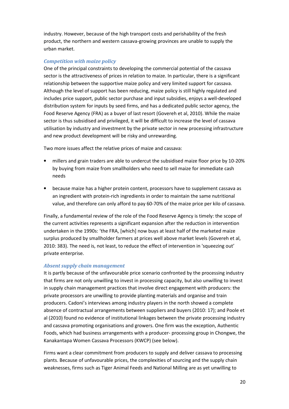industry. However, because of the high transport costs and perishability of the fresh product, the northern and western cassava-growing provinces are unable to supply the urban market.

# Competition with maize policy

One of the principal constraints to developing the commercial potential of the cassava sector is the attractiveness of prices in relation to maize. In particular, there is a significant relationship between the supportive maize policy and very limited support for cassava. Although the level of support has been reducing, maize policy is still highly regulated and includes price support, public sector purchase and input subsidies, enjoys a well-developed distribution system for inputs by seed firms, and has a dedicated public sector agency, the Food Reserve Agency (FRA) as a buyer of last resort (Govereh et al, 2010). While the maize sector is thus subsidised and privileged, it will be difficult to increase the level of cassava utilisation by industry and investment by the private sector in new processing infrastructure and new product development will be risky and unrewarding.

Two more issues affect the relative prices of maize and cassava:

- millers and grain traders are able to undercut the subsidised maize floor price by 10-20% by buying from maize from smallholders who need to sell maize for immediate cash needs
- because maize has a higher protein content, processors have to supplement cassava as an ingredient with protein-rich ingredients in order to maintain the same nutritional value, and therefore can only afford to pay 60-70% of the maize price per kilo of cassava.

Finally, a fundamental review of the role of the Food Reserve Agency is timely: the scope of the current activities represents a significant expansion after the reduction in intervention undertaken in the 1990s: 'the FRA, [which] now buys at least half of the marketed maize surplus produced by smallholder farmers at prices well above market levels (Govereh et al, 2010: 383). The need is, not least, to reduce the effect of intervention in 'squeezing out' private enterprise.

# Absent supply chain management

It is partly because of the unfavourable price scenario confronted by the processing industry that firms are not only unwilling to invest in processing capacity, but also unwilling to invest in supply chain management practices that involve direct engagement with producers: the private processors are unwilling to provide planting materials and organise and train producers. Cadoni's interviews among industry players in the north showed a complete absence of contractual arrangements between suppliers and buyers (2010: 17); and Poole et al (2010) found no evidence of institutional linkages between the private processing industry and cassava promoting organisations and growers. One firm was the exception, Authentic Foods, which had business arrangements with a producer- processing group in Chongwe, the Kanakantapa Women Cassava Processors (KWCP) (see below).

Firms want a clear commitment from producers to supply and deliver cassava to processing plants. Because of unfavourable prices, the complexities of sourcing and the supply chain weaknesses, firms such as Tiger Animal Feeds and National Milling are as yet unwilling to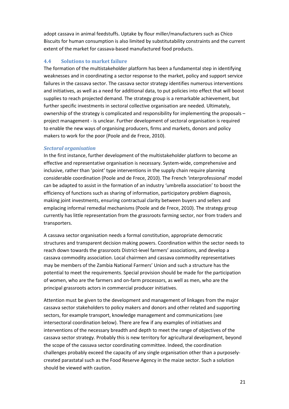adopt cassava in animal feedstuffs. Uptake by flour miller/manufacturers such as Chico Biscuits for human consumption is also limited by substitutability constraints and the current extent of the market for cassava-based manufactured food products.

### 4.4 Solutions to market failure

The formation of the multistakeholder platform has been a fundamental step in identifying weaknesses and in coordinating a sector response to the market, policy and support service failures in the cassava sector. The cassava sector strategy identifies numerous interventions and initiatives, as well as a need for additional data, to put policies into effect that will boost supplies to reach projected demand. The strategy group is a remarkable achievement, but further specific investments in sectoral collective organisation are needed. Ultimately, ownership of the strategy is complicated and responsibility for implementing the proposals – project management - is unclear. Further development of sectoral organisation is required to enable the new ways of organising producers, firms and markets, donors and policy makers to work for the poor (Poole and de Frece, 2010).

#### Sectoral organisation

In the first instance, further development of the multistakeholder platform to become an effective and representative organisation is necessary. System-wide, comprehensive and inclusive, rather than 'point' type interventions in the supply chain require planning considerable coordination (Poole and de Frece, 2010). The French 'interprofessional' model can be adapted to assist in the formation of an industry 'umbrella association' to boost the efficiency of functions such as sharing of information, participatory problem diagnosis, making joint investments, ensuring contractual clarity between buyers and sellers and emplacing informal remedial mechanisms (Poole and de Frece, 2010). The strategy group currently has little representation from the grassroots farming sector, nor from traders and transporters.

A cassava sector organisation needs a formal constitution, appropriate democratic structures and transparent decision making powers. Coordination within the sector needs to reach down towards the grassroots District-level farmers' associations, and develop a cassava commodity association. Local chairmen and cassava commodity representatives may be members of the Zambia National Farmers' Union and such a structure has the potential to meet the requirements. Special provision should be made for the participation of women, who are the farmers and on-farm processors, as well as men, who are the principal grassroots actors in commercial producer initiatives.

Attention must be given to the development and management of linkages from the major cassava sector stakeholders to policy makers and donors and other related and supporting sectors, for example transport, knowledge management and communications (see intersectoral coordination below). There are few if any examples of initiatives and interventions of the necessary breadth and depth to meet the range of objectives of the cassava sector strategy. Probably this is new territory for agricultural development, beyond the scope of the cassava sector coordinating committee. Indeed, the coordination challenges probably exceed the capacity of any single organisation other than a purposelycreated parastatal such as the Food Reserve Agency in the maize sector. Such a solution should be viewed with caution.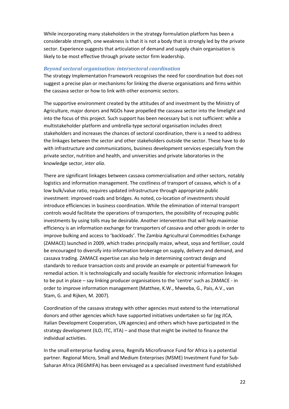While incorporating many stakeholders in the strategy formulation platform has been a considerable strength, one weakness is that it is not a body that is strongly led by the private sector. Experience suggests that articulation of demand and supply chain organisation is likely to be most effective through private sector firm leadership.

#### Beyond sectoral organisation: intersectoral coordination

The strategy Implementation Framework recognises the need for coordination but does not suggest a precise plan or mechanisms for linking the diverse organisations and firms within the cassava sector or how to link with other economic sectors.

The supportive environment created by the attitudes of and investment by the Ministry of Agriculture, major donors and NGOs have propelled the cassava sector into the limelight and into the focus of this project. Such support has been necessary but is not sufficient: while a multistakeholder platform and umbrella-type sectoral organisation includes direct stakeholders and increases the chances of sectoral coordination, there is a need to address the linkages between the sector and other stakeholders outside the sector. These have to do with infrastructure and communications, business development services especially from the private sector, nutrition and health, and universities and private laboratories in the knowledge sector, inter alia.

There are significant linkages between cassava commercialisation and other sectors, notably logistics and information management. The costliness of transport of cassava, which is of a low bulk/value ratio, requires updated infrastructure through appropriate public investment: improved roads and bridges. As noted, co-location of investments should introduce efficiencies in business coordination. While the elimination of internal transport controls would facilitate the operations of transporters, the possibility of recouping public investments by using tolls may be desirable. Another intervention that will help maximise efficiency is an information exchange for transporters of cassava and other goods in order to improve bulking and access to 'backloads'. The Zambia Agricultural Commodities Exchange (ZAMACE) launched in 2009, which trades principally maize, wheat, soya and fertiliser, could be encouraged to diversify into information brokerage on supply, delivery and demand, and cassava trading. ZAMACE expertise can also help in determining contract design and standards to reduce transaction costs and provide an example or potential framework for remedial action. It is technologically and socially feasible for electronic information linkages to be put in place – say linking producer organisations to the 'centre' such as ZAMACE - in order to improve information management (Matthee, K.W., Mweeba, G., Pais, A.V., van Stam, G. and Rijken, M. 2007).

Coordination of the cassava strategy with other agencies must extend to the international donors and other agencies which have supported initiatives undertaken so far (eg JICA, Italian Development Cooperation, UN agencies) and others which have participated in the strategy development (ILO, ITC, IITA) – and those that might be invited to finance the individual activities.

In the small enterprise funding arena, Regmifa Microfinance Fund for Africa is a potential partner. Regional Micro, Small and Medium Enterprises (MSME) Investment Fund for Sub-Saharan Africa (REGMIFA) has been envisaged as a specialised investment fund established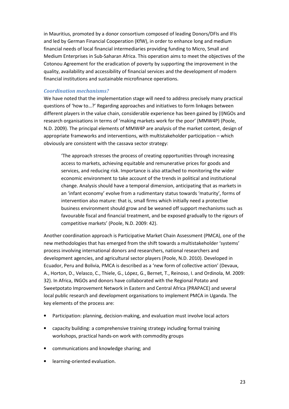in Mauritius, promoted by a donor consortium composed of leading Donors/DFIs and IFIs and led by German Financial Cooperation (KfW), in order to enhance long and medium financial needs of local financial intermediaries providing funding to Micro, Small and Medium Enterprises in Sub-Saharan Africa. This operation aims to meet the objectives of the Cotonou Agreement for the eradication of poverty by supporting the improvement in the quality, availability and accessibility of financial services and the development of modern financial institutions and sustainable microfinance operations.

#### Coordination mechanisms?

We have noted that the implementation stage will need to address precisely many practical questions of 'how to…?' Regarding approaches and initiatives to form linkages between different players in the value chain, considerable experience has been gained by (I)NGOs and research organisations in terms of 'making markets work for the poor' (MMW4P) (Poole, N.D. 2009). The principal elements of MMW4P are analysis of the market context, design of appropriate frameworks and interventions, with multistakeholder participation – which obviously are consistent with the cassava sector strategy:

'The approach stresses the process of creating opportunities through increasing access to markets, achieving equitable and remunerative prices for goods and services, and reducing risk. Importance is also attached to monitoring the wider economic environment to take account of the trends in political and institutional change. Analysis should have a temporal dimension, anticipating that as markets in an 'infant economy' evolve from a rudimentary status towards 'maturity', forms of intervention also mature: that is, small firms which initially need a protective business environment should grow and be weaned off support mechanisms such as favourable fiscal and financial treatment, and be exposed gradually to the rigours of competitive markets' (Poole, N.D. 2009: 42).

Another coordination approach is Participative Market Chain Assessment (PMCA), one of the new methodologies that has emerged from the shift towards a multistakeholder 'systems' process involving international donors and researchers, national researchers and development agencies, and agricultural sector players (Poole, N.D. 2010). Developed in Ecuador, Peru and Bolivia, PMCA is described as a 'new form of collective action' (Devaux, A., Horton, D., Velasco, C., Thiele, G., López, G., Bernet, T., Reinoso, I. and Ordinola, M. 2009: 32). In Africa, INGOs and donors have collaborated with the Regional Potato and Sweetpotato Improvement Network in Eastern and Central Africa (PRAPACE) and several local public research and development organisations to implement PMCA in Uganda. The key elements of the process are:

- Participation: planning, decision-making, and evaluation must involve local actors
- capacity building: a comprehensive training strategy including formal training workshops, practical hands-on work with commodity groups
- communications and knowledge sharing; and
- learning-oriented evaluation.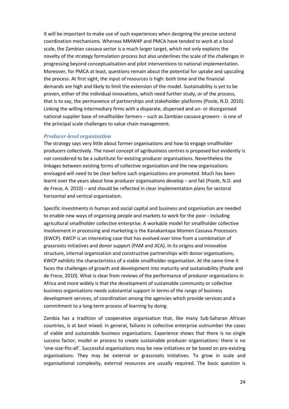It will be important to make use of such experiences when designing the precise sectoral coordination mechanisms. Whereas MMW4P and PMCA have tended to work at a local scale, the Zambian cassava sector is a much larger target, which not only explains the novelty of the strategy formulation process but also underlines the scale of the challenges in progressing beyond conceptualisation and pilot interventions to national implementation. Moreover, for PMCA at least, questions remain about the potential for uptake and upscaling the process. At first sight, the input of resources is high: both time and the financial demands are high and likely to limit the extension of the model. Sustainability is yet to be proven, either of the individual innovations, which need further study, or of the process, that is to say, the permanence of partnerships and stakeholder platforms (Poole, N.D. 2010). Linking the willing intermediary firms with a disparate, dispersed and un- or disorganised national supplier base of smallholder farmers – such as Zambian cassava growers - is one of the principal scale challenges to value chain management.

#### Producer-level organisation

The strategy says very little about farmer organisations and how to engage smallholder producers collectively. The novel concept of agribusiness centres is proposed but evidently is not considered to be a substitute for existing producer organisations. Nevertheless the linkages between existing forms of collective organisation and the new organisations envisaged will need to be clear before such organizations are promoted. Much has been learnt over the years about how producer organisations develop – and fail (Poole, N.D. and de Frece, A. 2010) – and should be reflected in clear implementation plans for sectoral horizontal and vertical organisation.

Specific investments in human and social capital and business and organisation are needed to enable new ways of organising people and markets to work for the poor - including agricultural smallholder collective enterprise. A workable model for smallholder collective involvement in processing and marketing is the Kanakantapa Women Cassava Processors (KWCP). KWCP is an interesting case that has evolved over time from a combination of grassroots initiatives and donor support (PAM and JICA). In its origins and innovative structure, internal organisation and constructive partnerships with donor organisations, KWCP exhibits the characteristics of a viable smallholder organisation. At the same time it faces the challenges of growth and development into maturity and sustainability (Poole and de Frece, 2010). What is clear from reviews of the performance of producer organisations in Africa and more widely is that the development of sustainable community or collective business organisations needs substantial support in terms of the range of business development services, of coordination among the agencies which provide services and a commitment to a long-term process of learning by doing.

Zambia has a tradition of cooperative organisation that, like many Sub-Saharan African countries, is at best mixed. In general, failures in collective enterprise outnumber the cases of viable and sustainable business organisations. Experience shows that there is no single success factor, model or process to create sustainable producer organisations: there is no 'one-size-fits-all'. Successful organisations may be new initiatives or be based on pre-existing organisations. They may be external or grassroots initiatives. To grow in scale and organisational complexity, external resources are usually required. The basic question is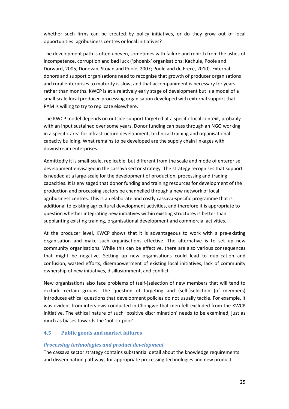whether such firms can be created by policy initiatives, or do they grow out of local opportunities: agribusiness centres or local initiatives?

The development path is often uneven, sometimes with failure and rebirth from the ashes of incompetence, corruption and bad luck ('phoenix' organisations: Kachule, Poole and Dorward, 2005; Donovan, Stoian and Poole, 2007; Poole and de Frece, 2010). External donors and support organisations need to recognise that growth of producer organisations and rural enterprises to maturity is slow, and that accompaniment is necessary for years rather than months. KWCP is at a relatively early stage of development but is a model of a small-scale local producer-processing organisation developed with external support that PAM is willing to try to replicate elsewhere.

The KWCP model depends on outside support targeted at a specific local context, probably with an input sustained over some years. Donor funding can pass through an NGO working in a specific area for infrastructure development, technical training and organisational capacity building. What remains to be developed are the supply chain linkages with downstream enterprises.

Admittedly it is small-scale, replicable, but different from the scale and mode of enterprise development envisaged in the cassava sector strategy. The strategy recognises that support is needed at a large-scale for the development of production, processing and trading capacities. It is envisaged that donor funding and training resources for development of the production and processing sectors be channelled through a new network of local agribusiness centres. This is an elaborate and costly cassava-specific programme that is additional to existing agricultural development activities, and therefore it is appropriate to question whether integrating new initiatives within existing structures is better than supplanting existing training, organisational development and commercial activities.

At the producer level, KWCP shows that it is advantageous to work with a pre-existing organisation and make such organisations effective. The alternative is to set up new community organisations. While this can be effective, there are also various consequences that might be negative. Setting up new organisations could lead to duplication and confusion, wasted efforts, disempowerment of existing local initiatives, lack of community ownership of new initiatives, disillusionment, and conflict.

New organisations also face problems of (self-)selection of new members that will tend to exclude certain groups. The question of targeting and (self-)selection (of members) introduces ethical questions that development policies do not usually tackle. For example, it was evident from interviews conducted in Chongwe that men felt excluded from the KWCP initiative. The ethical nature of such 'positive discrimination' needs to be examined, just as much as biases towards the 'not-so-poor'.

# 4.5 Public goods and market failures

#### Processing technologies and product development

The cassava sector strategy contains substantial detail about the knowledge requirements and dissemination pathways for appropriate processing technologies and new product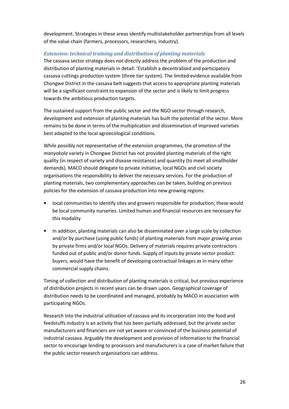development. Strategies in these areas identify multistakeholder partnerships from all levels of the value chain (farmers, processors, researchers, industry).

#### Extension: technical training and distribution of planting materials

The cassava sector strategy does not directly address the problem of the production and distribution of planting materials in detail: 'Establish a decentralised and participatory cassava cuttings production system (three tier system). The limited evidence available from Chongwe District in the cassava belt suggests that access to appropriate planting materials will be a significant constraint to expansion of the sector and is likely to limit progress towards the ambitious production targets.

The sustained support from the public sector and the NGO sector through research, development and extension of planting materials has built the potential of the sector. More remains to be done in terms of the multiplication and dissemination of improved varieties best adapted to the local agroecological conditions.

While possibly not representative of the extension programmes, the promotion of the manyokola variety in Chongwe District has not provided planting materials of the right quality (in respect of variety and disease resistance) and quantity (to meet all smallholder demands). MACO should delegate to private initiative, local NGOs and civil society organisations the responsibility to deliver the necessary services. For the production of planting materials, two complementary approaches can be taken, building on previous policies for the extension of cassava production into new growing regions:

- local communities to identify sites and growers responsible for production; these would be local community nurseries. Limited human and financial resources are necessary for this modality
- In addition, planting materials can also be disseminated over a large scale by collection and/or by purchase (using public funds) of planting materials from major growing areas by private firms and/or local NGOs. Delivery of materials requires private contractors funded out of public and/or donor funds. Supply of inputs by private sector product buyers, would have the benefit of developing contractual linkages as in many other commercial supply chains.

Timing of collection and distribution of planting materials is critical, but previous experience of distribution projects in recent years can be drawn upon. Geographical coverage of distribution needs to be coordinated and managed, probably by MACO in association with participating NGOs.

Research into the industrial utilisation of cassava and its incorporation into the food and feedstuffs industry is an activity that has been partially addressed, but the private sector manufacturers and financiers are not yet aware or convinced of the business potential of industrial cassava. Arguably the development and provision of information to the financial sector to encourage lending to processors and manufacturers is a case of market failure that the public sector research organisations can address.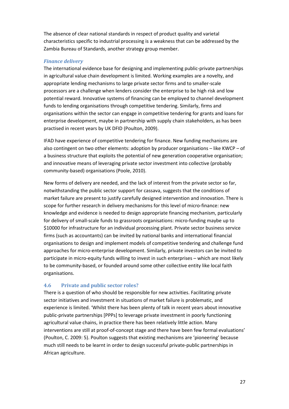The absence of clear national standards in respect of product quality and varietal characteristics specific to industrial processing is a weakness that can be addressed by the Zambia Bureau of Standards, another strategy group member.

#### Finance delivery

The international evidence base for designing and implementing public-private partnerships in agricultural value chain development is limited. Working examples are a novelty, and appropriate lending mechanisms to large private sector firms and to smaller-scale processors are a challenge when lenders consider the enterprise to be high risk and low potential reward. Innovative systems of financing can be employed to channel development funds to lending organisations through competitive tendering. Similarly, firms and organisations within the sector can engage in competitive tendering for grants and loans for enterprise development, maybe in partnership with supply chain stakeholders, as has been practised in recent years by UK DFID (Poulton, 2009).

IFAD have experience of competitive tendering for finance. New funding mechanisms are also contingent on two other elements: adoption by producer organisations – like KWCP – of a business structure that exploits the potential of new generation cooperative organisation; and innovative means of leveraging private sector investment into collective (probably community-based) organisations (Poole, 2010).

New forms of delivery are needed, and the lack of interest from the private sector so far, notwithstanding the public sector support for cassava, suggests that the conditions of market failure are present to justify carefully designed intervention and innovation. There is scope for further research in delivery mechanisms for this level of micro-finance: new knowledge and evidence is needed to design appropriate financing mechanism, particularly for delivery of small-scale funds to grassroots organisations: micro-funding maybe up to \$10000 for infrastructure for an individual processing plant. Private sector business service firms (such as accountants) can be invited by national banks and international financial organisations to design and implement models of competitive tendering and challenge fund approaches for micro-enterprise development. Similarly, private investors can be invited to participate in micro-equity funds willing to invest in such enterprises – which are most likely to be community-based, or founded around some other collective entity like local faith organisations.

#### 4.6 Private and public sector roles?

There is a question of who should be responsible for new activities. Facilitating private sector initiatives and investment in situations of market failure is problematic, and experience is limited. 'Whilst there has been plenty of talk in recent years about innovative public-private partnerships [PPPs] to leverage private investment in poorly functioning agricultural value chains, in practice there has been relatively little action. Many interventions are still at proof-of-concept stage and there have been few formal evaluations' (Poulton, C. 2009: 5). Poulton suggests that existing mechanisms are 'pioneering' because much still needs to be learnt in order to design successful private-public partnerships in African agriculture.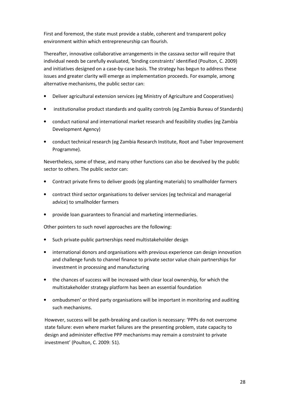First and foremost, the state must provide a stable, coherent and transparent policy environment within which entrepreneurship can flourish.

Thereafter, innovative collaborative arrangements in the cassava sector will require that individual needs be carefully evaluated, 'binding constraints' identified (Poulton, C. 2009) and initiatives designed on a case-by-case basis. The strategy has begun to address these issues and greater clarity will emerge as implementation proceeds. For example, among alternative mechanisms, the public sector can:

- Deliver agricultural extension services (eg Ministry of Agriculture and Cooperatives)
- institutionalise product standards and quality controls (eg Zambia Bureau of Standards)
- conduct national and international market research and feasibility studies (eg Zambia Development Agency)
- conduct technical research (eg Zambia Research Institute, Root and Tuber Improvement Programme).

Nevertheless, some of these, and many other functions can also be devolved by the public sector to others. The public sector can:

- Contract private firms to deliver goods (eg planting materials) to smallholder farmers
- contract third sector organisations to deliver services (eg technical and managerial advice) to smallholder farmers
- provide loan guarantees to financial and marketing intermediaries.

Other pointers to such novel approaches are the following:

- Such private-public partnerships need multistakeholder design
- international donors and organisations with previous experience can design innovation and challenge funds to channel finance to private sector value chain partnerships for investment in processing and manufacturing
- the chances of success will be increased with clear local ownership, for which the multistakeholder strategy platform has been an essential foundation
- ombudsmen' or third party organisations will be important in monitoring and auditing such mechanisms.

However, success will be path-breaking and caution is necessary: 'PPPs do not overcome state failure: even where market failures are the presenting problem, state capacity to design and administer effective PPP mechanisms may remain a constraint to private investment' (Poulton, C. 2009: 51).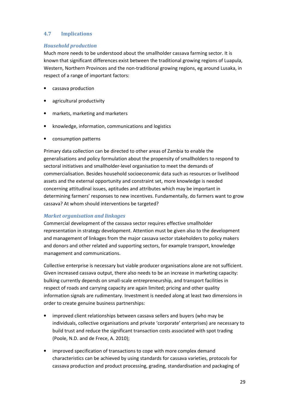# 4.7 Implications

# Household production

Much more needs to be understood about the smallholder cassava farming sector. It is known that significant differences exist between the traditional growing regions of Luapula, Western, Northern Provinces and the non-traditional growing regions, eg around Lusaka, in respect of a range of important factors:

- cassava production
- agricultural productivity
- markets, marketing and marketers
- knowledge, information, communications and logistics
- consumption patterns

Primary data collection can be directed to other areas of Zambia to enable the generalisations and policy formulation about the propensity of smallholders to respond to sectoral initiatives and smallholder-level organisation to meet the demands of commercialisation. Besides household socioeconomic data such as resources or livelihood assets and the external opportunity and constraint set, more knowledge is needed concerning attitudinal issues, aptitudes and attributes which may be important in determining farmers' responses to new incentives. Fundamentally, do farmers want to grow cassava? At whom should interventions be targeted?

# Market organisation and linkages

Commercial development of the cassava sector requires effective smallholder representation in strategy development. Attention must be given also to the development and management of linkages from the major cassava sector stakeholders to policy makers and donors and other related and supporting sectors, for example transport, knowledge management and communications.

Collective enterprise is necessary but viable producer organisations alone are not sufficient. Given increased cassava output, there also needs to be an increase in marketing capacity: bulking currently depends on small-scale entrepreneurship, and transport facilities in respect of roads and carrying capacity are again limited; pricing and other quality information signals are rudimentary. Investment is needed along at least two dimensions in order to create genuine business partnerships:

- improved client relationships between cassava sellers and buyers (who may be individuals, collective organisations and private 'corporate' enterprises) are necessary to build trust and reduce the significant transaction costs associated with spot trading (Poole, N.D. and de Frece, A. 2010);
- improved specification of transactions to cope with more complex demand characteristics can be achieved by using standards for cassava varieties, protocols for cassava production and product processing, grading, standardisation and packaging of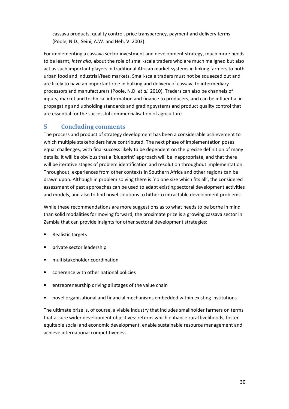cassava products, quality control, price transparency, payment and delivery terms (Poole, N.D., Seini, A.W. and Heh, V. 2003).

For implementing a cassava sector investment and development strategy, much more needs to be learnt, inter alia, about the role of small-scale traders who are much maligned but also act as such important players in traditional African market systems in linking farmers to both urban food and industrial/feed markets. Small-scale traders must not be squeezed out and are likely to have an important role in bulking and delivery of cassava to intermediary processors and manufacturers (Poole, N.D. et al. 2010). Traders can also be channels of inputs, market and technical information and finance to producers, and can be influential in propagating and upholding standards and grading systems and product quality control that are essential for the successful commercialisation of agriculture.

# 5 Concluding comments

The process and product of strategy development has been a considerable achievement to which multiple stakeholders have contributed. The next phase of implementation poses equal challenges, with final success likely to be dependent on the precise definition of many details. It will be obvious that a 'blueprint' approach will be inappropriate, and that there will be iterative stages of problem identification and resolution throughout implementation. Throughout, experiences from other contexts in Southern Africa and other regions can be drawn upon. Although in problem solving there is 'no one size which fits all', the considered assessment of past approaches can be used to adapt existing sectoral development activities and models, and also to find novel solutions to hitherto intractable development problems.

While these recommendations are more suggestions as to what needs to be borne in mind than solid modalities for moving forward, the proximate prize is a growing cassava sector in Zambia that can provide insights for other sectoral development strategies:

- Realistic targets
- private sector leadership
- multistakeholder coordination
- coherence with other national policies
- entrepreneurship driving all stages of the value chain
- novel organisational and financial mechanisms embedded within existing institutions

The ultimate prize is, of course, a viable industry that includes smallholder farmers on terms that assure wider development objectives: returns which enhance rural livelihoods, foster equitable social and economic development, enable sustainable resource management and achieve international competitiveness.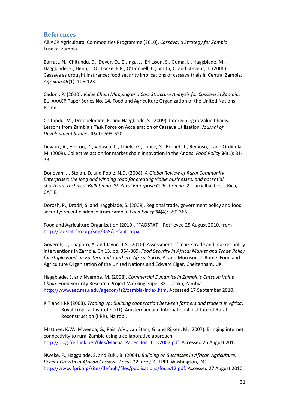# References

All ACP Agricultural Commodities Programme (2010). Cassava: a Strategy for Zambia. Lusaka, Zambia.

Barratt, N., Chitundu, D., Dover, O., Elsinga, J., Eriksson, S., Guma, L., Haggblade, M., Haggblade, S., Henn, T.O., Locke, F.R., O'Donnell, C., Smith, C. and Stevens, T. (2006). Cassava as drought insurance: food security implications of cassava trials in Central Zambia. Agrekon 45(1): 106-123.

Cadoni, P. (2010). Value Chain Mapping and Cost Structure Analysis for Cassava in Zambia. EU-AAACP Paper Series No. 14. Food and Agriculture Organization of the United Nations. Rome.

Chitundu, M., Droppelmann, K. and Haggblade, S. (2009). Intervening in Value Chains: Lessons from Zambia's Task Force on Acceleration of Cassava Utilisation. Journal of Development Studies 45(4): 593-620.

Devaux, A., Horton, D., Velasco, C., Thiele, G., López, G., Bernet, T., Reinoso, I. and Ordinola, M. (2009). Collective action for market chain innovation in the Andes. Food Policy 34(1): 31- 38.

Donovan, J., Stoian, D. and Poole, N.D. (2008). A Global Review of Rural Community Enterprises: the long and winding road for creating viable businesses, and potential shortcuts. Technical Bulletin no 29. Rural Enterprise Collection no. 2. Turrialba, Costa Rica, CATIE.

Dorosh, P., Dradri, S. and Haggblade, S. (2009). Regional trade, government policy and food security: recent evidence from Zambia. Food Policy 34(4): 350-366.

Food and Agriculture Organization (2010). "FAOSTAT." Retrieved 25 August 2010, from http://faostat.fao.org/site/339/default.aspx.

Govereh, J., Chapoto, A. and Jayne, T.S. (2010). Assessment of maize trade and market policy interventions in Zambia. Ch 13, pp. 354-389. Food Security in Africa: Market and Trade Policy for Staple Foods in Eastern and Southern Africa. Sarris, A. and Morrison, J. Rome, Food and Agriculture Organization of the United Nations and Edward Elgar, Cheltenham, UK.

Haggblade, S. and Nyembe, M. (2008). Commercial Dynamics in Zambia's Cassava Value Chain. Food Security Research Project Working Paper 32. Lusaka, Zambia. http://www.aec.msu.edu/agecon/fs2/zambia/index.htm. Accessed 17 September 2010.

KIT and IIRR (2008). Trading up: Building cooperation between farmers and traders in Africa, Royal Tropical Institute (KIT), Amsterdam and International Institute of Rural Reconstruction (IIRR), Nairobi.

Matthee, K.W., Mweeba, G., Pais, A.V., van Stam, G. and Rijken, M. (2007). Bringing internet connectivity to rural Zambia using a collaborative approach. http://blog.freifunk.net/files/Macha\_Paper\_for\_ICTD2007.pdf. Accessed 26 August 2010.

Nweke, F., Haggblade, S. and Zulu, B. (2004). Building on Successes in African Agriculture: Recent Growth in African Cassava. Focus 12: Brief 3. IFPRI. Washington, DC. http://www.ifpri.org/sites/default/files/publications/focus12.pdf. Accessed 27 August 2010.